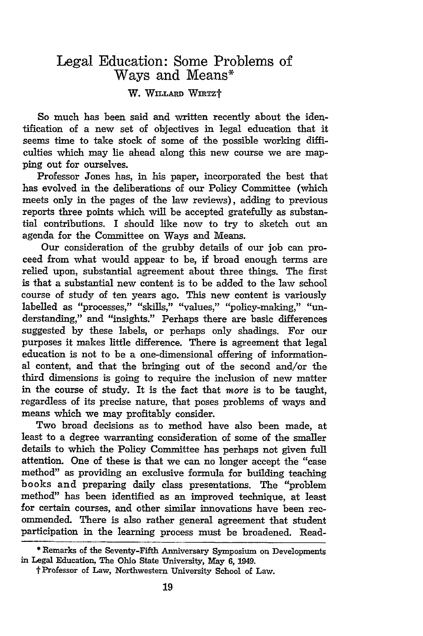## Legal Education: Some Problems of Ways and Means\*

## W. WILLARD WIRTZT

So much has been said and written recently about the identification of a new set of objectives in legal education that it seems time to take stock of some of the possible working difficulties which may lie ahead along this new course we are mapping out for ourselves.

Professor Jones has, in his paper, incorporated the best that has evolved in the deliberations of our Policy Committee (which meets only in the pages of the law reviews), adding to previous reports three points which will be accepted gratefully as substantial contributions. I should like now to try to sketch out an agenda for the Committee on Ways and Means.

Our consideration of the grubby details of our job can proceed from what would appear to be, if broad enough terms are relied upon, substantial agreement about three things. The first is that a substantial new content is to be added to the law school course of study of ten years ago. This new content is variously labelled as "processes," "skills," "values," "policy-making," "understanding," and "insights." Perhaps there are basic differences suggested by these labels, or perhaps only shadings. For our purposes it makes little difference. There is agreement that legal education is not to be a one-dimensional offering of informational content, and that the bringing out of the second and/or the third dimensions is going to require the inclusion of new matter in the course of study. It is the fact that *more* is to be taught, regardless of its precise nature, that poses problems of ways and means which we may profitably consider.

Two broad decisions as to method have also been made, at least to a degree warranting consideration of some of the smaller details to which the Policy Committee has perhaps not given full attention. One of these is that we can no longer accept the "case method" as providing an exclusive formula for building teaching books and preparing daily class presentations. The "problem method" has been identified as an improved technique, at least for certain courses, and other similar innovations have been recommended. There is also rather general agreement that student participation in the learning process must be broadened. Read-

<sup>\*</sup> Remarks of the Seventy-Fifth Anniversary Symposium on Developments in Legal Education, The Ohio State University, May **6,** 1949.

t Professor of Law, Northwestern University School of Law.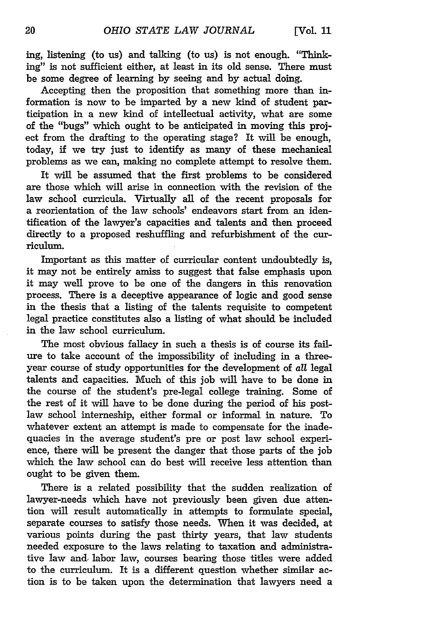ing, listening (to us) and talking (to us) is not enough. "Thinking" is not sufficient either, at least in its old sense. There must be some degree of learning by seeing and by actual doing.

Accepting then the proposition that something more than information is now to be imparted by a new kind of student participation in a new kind of intellectual activity, what are some of the "bugs" which ought to be anticipated in moving this project from the drafting to the operating stage? It will be enough, today, if we try just to identify as many of these mechanical problems as we can, making no complete attempt to resolve them.

It will be assumed that the first problems to be considered are those which will arise in connection with the revision of the law school curricula. Virtually all of the recent proposals for a reorientation of the law schools' endeavors start from an identification of the lawyer's capacities and talents and then proceed directly to a proposed reshuffling and refurbishment of the curriculum.

Important as this matter of curricular content undoubtedly is, it may not be entirely amiss to suggest that false emphasis upon it may well prove to be one of the dangers in this renovation process. There is a deceptive appearance of logic and good sense in the thesis that a listing of the talents requisite to competent legal practice constitutes also a listing of what should be included in the law school curriculum.

The most obvious fallacy in such a thesis is of course its failure to take account of the impossibility of including in a threeyear course of study opportunities for the development of *all* legal talents and capacities. Much of this job will have to be done in the course of the student's pre-legal college training. Some of the rest of it will have to be done during the period of his postlaw school interneship, either formal or informal in nature. To whatever extent an attempt is made to compensate for the inadequacies in the average student's pre or post law school experience, there will be present the danger that those parts of the job which the law school can do best will receive less attention than ought to be given them.

There is a related possibility that the sudden realization of lawyer-needs which have not previously been given due attention will result automatically in attempts to formulate special, separate courses to satisfy those needs. When it was decided, at various points during the past thirty years, that law students needed exposure to the laws relating to taxation and administrative law and, labor law, courses bearing those titles were added to the curriculum. It is a different question whether similar action is to be taken upon the determination that lawyers need a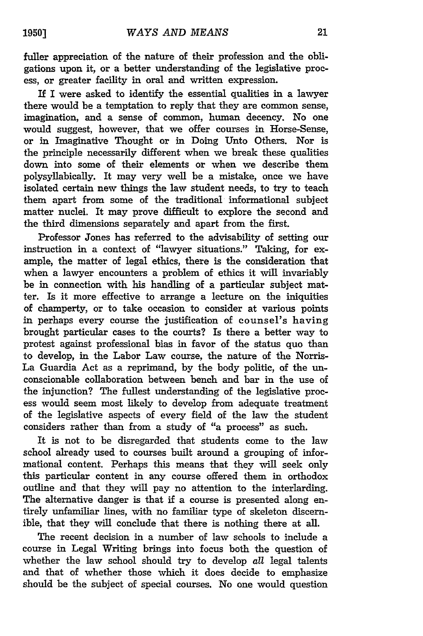fuller appreciation of the nature of their profession and the obligations upon it, or a better understanding of the legislative process, or greater facility in oral and written expression.

If I were asked to identify the essential qualities in a lawyer there would be a temptation to reply that they are common sense, imagination, and a sense of common, human decency. No one would suggest, however, that we offer courses in Horse-Sense, or in Imaginative Thought or in Doing Unto Others. Nor is the principle necessarily different when we break these qualities down into some of their elements or when we describe them polysyllabically. It may very well be a mistake, once we have isolated certain new things the law student needs, to try to teach them apart from some of the traditional informational subject matter nuclei. It may prove difficult to explore the second and the third dimensions separately and apart from the first.

Professor Jones has referred to the advisability of setting our instruction in a context of "lawyer situations." Taking, for example, the matter of legal ethics, there is the consideration that when a lawyer encounters a problem of ethics it will invariably be in connection with his handling of a particular subject matter. Is it more effective to arrange a lecture on the iniquities of champerty, or to take occasion to consider at various points in perhaps every course the justification of counsel's having brought particular cases to the courts? Is there a better way to protest against professional bias in favor of the status quo than to develop, in the Labor Law course, the nature of the Norris-La Guardia Act as a reprimand, by the body politic, of the unconscionable collaboration between bench and bar in the use of the injunction? The fullest understanding of the legislative process would seem most likely to develop from adequate treatment of the legislative aspects of every field of the law the student considers rather than from a study of "a process" as such.

It is not to be disregarded that students come to the law school already used to courses built around a grouping of informational content. Perhaps this means that they will seek only this particular content in any course offered them in orthodox outline and that they will pay no attention to the interlarding. The alternative danger is that if a course is presented along entirely unfamiliar lines, with no familiar type of skeleton discernible, that they will conclude that there is nothing there at all.

The recent decision in a number of law schools to include a course in Legal Writing brings into focus both the question of whether the law school should try to develop all legal talents and that of whether those which it does decide to emphasize should be the subject of special courses. No one would question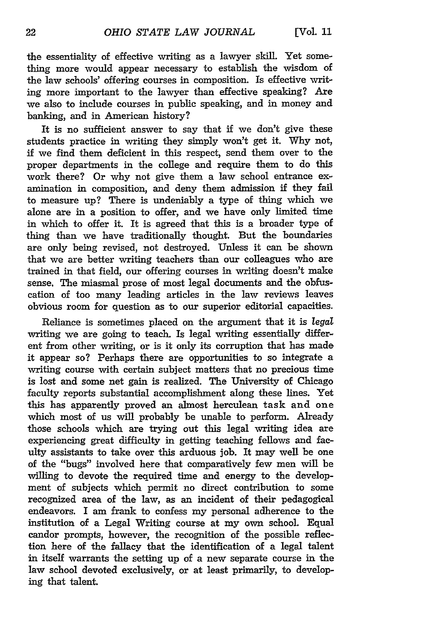the essentiality of effective writing as a lawyer skill. Yet something more would appear necessary to establish the wisdom of the law schools' offering courses in composition. Is effective writing more important to the lawyer than effective speaking? Are we also to include courses in public speaking, and in money and banking, and in American history?

It is no sufficient answer to say that if we don't give these students practice in writing they simply won't get it. Why not, if we find them deficient in this respect, send them over to the proper departments in the college and require them to do this work there? Or why not give them a law school entrance examination in composition, and deny them admission if they fail to measure up? There is undeniably a type of thing which we alone are in a position to offer, and we have only limited time in which to offer it. It is agreed that tbis is a broader type of thing than we have traditionally thought. But the boundaries are only being revised, not destroyed. Unless it can be shown that we are better writing teachers than our colleagues who are trained in that field, our offering courses in writing doesn't make sense. The miasmal prose of most legal documents and the obfuscation of too many leading articles in the law reviews leaves obvious room for question as to our superior editorial capacities.

Reliance is sometimes placed on the argument that it is *legal* writing we are going to teach. Is legal writing essentially different from other writing, or is it only its corruption that has made it appear so? Perhaps there are opportunities to so integrate a writing course with certain subject matters that no precious time is lost and some net gain is realized. The University of Chicago faculty reports substantial accomplishment along these lines. Yet this has apparently proved an almost herculean task and one which most of us will probably be unable to perform. Already those schools which are trying out this legal writing idea are experiencing great difficulty in getting teaching fellows and faculty assistants to take over this arduous job. It may well be one of the "bugs" involved here that comparatively few men will be willing to devote the required time and energy to the development of subjects which permit no direct contribution to some recognized area of the law, as an incident of their pedagogical endeavors. I am frank to confess my personal adherence to the institution of a Legal Writing course at my own school. Equal candor prompts, however, the recognition of the possible reflection here of the fallacy that the identification of a legal talent in itself warrants the setting up of a new separate course in the law school devoted exclusively, or at least primarily, to developing that talent.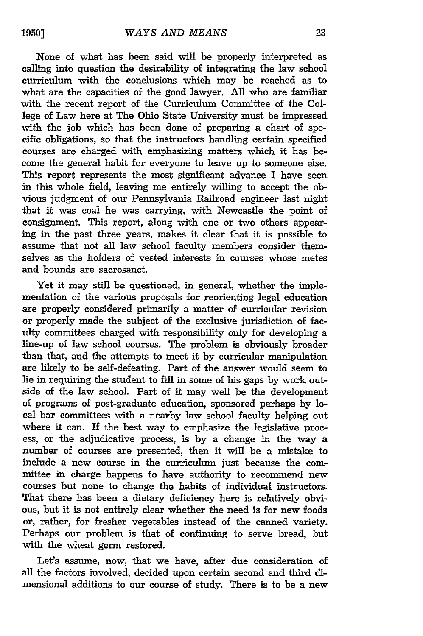None of what has been said will be properly interpreted as calling into question the desirability of integrating the law school curriculum with the conclusions which may be reached as to what are the capacities of the good lawyer. All who are familiar with the recent report of the Curriculum Committee of the College of Law here at The Ohio State University must be impressed with the **job** which has been done of preparing a chart of specific obligations, so that the instructors handling certain specified courses are charged with emphasizing matters which it has become the general habit for everyone to leave up to someone else. This report represents the most significant advance I have seen in this whole field, leaving me entirely willing to accept the obvious judgment of our Pennsylvania Railroad engineer last night that it was coal he was carrying, with Newcastle the point of consignment. This report, along with one or two others appearing in the past three years, makes it clear that it is possible to assume that not all law school faculty members consider themselves as the holders of vested interests in courses whose metes and bounds are sacrosanct.

Yet it may still be questioned, in general, whether the implementation of the various proposals for reorienting legal education are properly considered primarily a matter of curricular revision or properly made the subject of the exclusive jurisdiction of faculty committees charged with responsibility only for developing a line-up of law school courses. The problem is obviously broader than that, and the attempts to meet it by curricular manipulation are likely to be self-defeating. Part of the answer would seem to lie in requiring the student to fill in some of his gaps by work outside of the law school. Part of it may well be the development of programs of post-graduate education, sponsored perhaps by local bar committees with a nearby law school faculty helping out where it can. If the best way to emphasize the legislative process, or the adjudicative process, is by a change in the way a number of courses are presented, then it will be a mistake to include a new course in the curriculum just because the committee in charge happens to have authority to recommend new courses but none to change the habits of individual instructors. That there has been a dietary deficiency here is relatively obvious, but it is not entirely clear whether the need is for new foods or, rather, for fresher vegetables instead of the canned variety. Perhaps our problem is that of continuing to serve bread, but with the wheat germ restored.

Let's assume, now, that we have, after due consideration of all the factors involved, decided upon certain second and third dimensional additions to our course of study. There is to be a new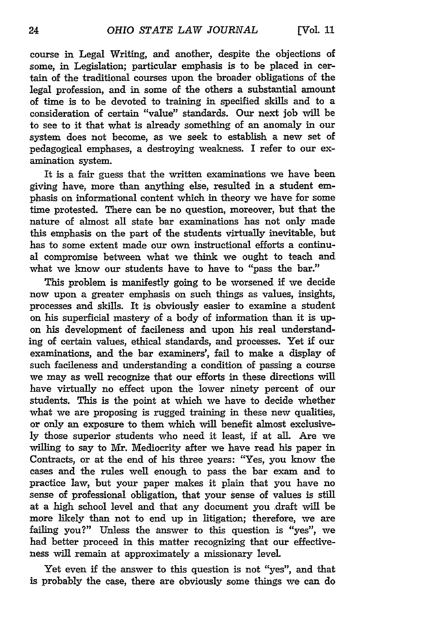course in Legal Writing, and another, despite the objections of some, in Legislation; particular emphasis is to be placed in certain of the traditional courses upon the broader obligations of the legal profession, and in some of the others a substantial amount of time is to be devoted to training in specified skills and to a consideration of certain "value" standards. Our next job will be to see to it that what is already something of an anomaly in our system does not become, as we seek to establish a new set of pedagogical emphases, a destroying weakness. I refer to our examination system.

It is a fair guess that the written examinations we have been giving have, more than anything else, resulted in a student emphasis on informational content which in theory we have for some time protested. There can be no question, moreover, but that the nature of almost all state bar examinations has not only made this emphasis on the part of the students virtually inevitable, but has to some extent made our own instructional efforts a continual compromise between what we think we ought to teach and what we know our students have to have to "pass the bar."

This problem is manifestly going to be worsened if we decide now upon a greater emphasis on such things as values, insights, processes and skills. It is obviously easier to examine a student on his superficial mastery of a body of information than it is upon his development of facileness and upon his real understanding of certain values, ethical standards, and processes. Yet if our examinations, and the bar examiners', fail to make a display of such facileness and understanding a condition of passing a course we may as well recognize that our efforts in these directions will have virtually no effect upon the lower ninety percent of our students. This is the point at which we have to decide whether what we are proposing is rugged training in these new qualities, or only an exposure to them which will benefit almost exclusively those superior students who need it least, if at all. Are we willing to say to Mr. Mediocrity after we have read his paper in Contracts, or at the end of his three years: "Yes, you know the cases and the rules well enough to pass the bar exam and to practice law, but your paper makes it plain that you have no sense of professional obligation, that your sense of values is still at a high school level and that any document you draft will be more likely than not to end up in litigation; therefore, we are failing you?" Unless the answer to this question is "yes", we had better proceed in this matter recognizing that our effectiveness will remain at approximately a missionary level

Yet even if the answer to this question is not "yes", and that is probably the case, there are obviously some things we can do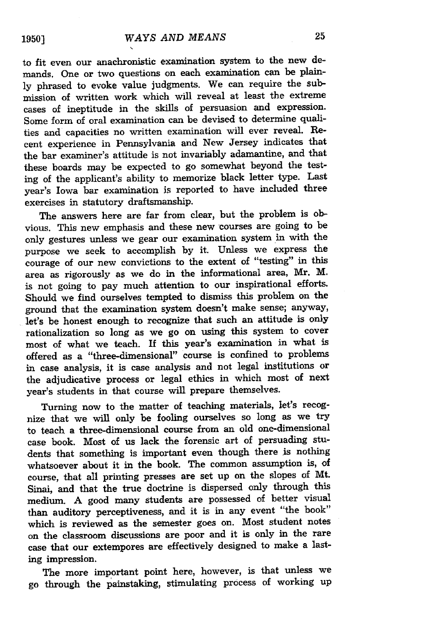to fit even our anachronistic examination system to the new demands. One or two questions on each examination can be plain**ly** phrased to evoke value judgments. We can require the submission of written work which will reveal at least the extreme cases of ineptitude in the skills of persuasion and expression. Some form of oral examination can be devised to determine qualities and capacities no written examination will ever reveal. Recent experience in Pennsylvania and New Jersey indicates that the bar examiner's attitude is not invariably adamantine, and that these boards may be expected to go somewhat beyond the testing of the applicant's ability to memorize black letter type. Last year's Iowa bar examination is reported to have included three exercises in statutory draftsmanship.

The answers here are far from clear, but the problem is obvious. This new emphasis and these new courses are going to be only gestures unless we gear our examination system in with the purpose we seek to accomplish **by** it. Unless we express the courage of our new convictions to the extent of "testing" in this area as rigorously as we do in the informational area, Mr. M. is not going to pay much attention to our inspirational efforts. Should we find ourselves tempted to dismiss this problem on the ground that the examination system doesn't make sense; anyway, let's be honest enough to recognize that such an attitude is only rationalization so long as we go on using this system to cover most of what we teach. If this year's examination in what is offered as a "three-dimensional" course is confined to problems in case analysis, it is case analysis and not legal institutions or the adjudicative process or legal ethics in which most of next year's students in that course will prepare themselves.

Turning now to the matter of teaching materials, let's recognize that we will only be fooling ourselves so long as we try to teach a three-dimensional course from an old one-dimensional case book. Most of us lack the forensic art of persuading students that something is important even though there is nothing whatsoever about it in the book. The common assumption is, of course, that all printing presses are set up on the slopes of Mt. Sinai, and that the true doctrine is dispersed only through this medium. A good many students are possessed of better visual than auditory perceptiveness, and it is in any event "the book" which is reviewed as the semester goes on. Most student notes on the classroom discussions are poor and it is only in the rare case that our extempores are effectively designed to make a lasting impression.

The more important point here, however, is that unless we go through the painstaking, stimulating process of working up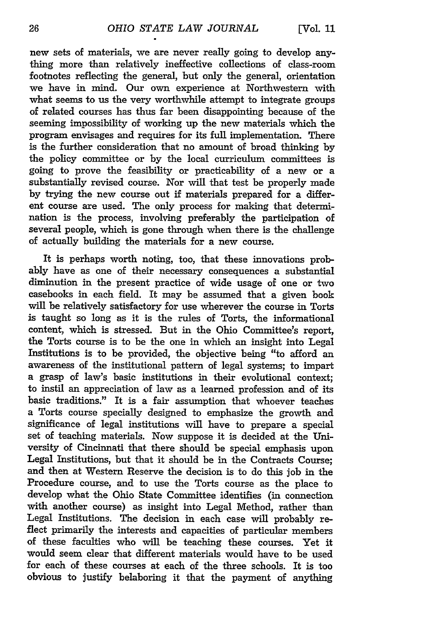new sets of materials, we are never really going to develop anything more than relatively ineffective collections of class-room footnotes reflecting the general, but only the general, orientation we have in mind. Our own experience at Northwestern with what seems to us the very worthwhile attempt to integrate groups of related courses has thus far been disappointing because of the seeming impossibility of working up the new materials which the program envisages and requires for its full implementation. There is the further consideration that no amount of broad thinking by the policy committee or by the local curriculum committees is going to prove the feasibility or practicability of a new or a substantially revised course. Nor will that test be properly made by trying the new course out if materials prepared for a different course are used. The only process for making that determination is the process, involving preferably the participation of several people, which is gone through when there is the challenge of actually building the materials for a new course.

It is perhaps worth noting, too, that these innovations probably have as one of their necessary consequences a substantial diminution in the present practice of wide usage of one or two casebooks in each field. It may be assumed that a given book will be relatively satisfactory for use wherever the course in Torts is taught so long as it is the rules of Torts, the informational content, which is stressed. But in the Ohio Committee's report, the Torts course is to be the one in which an insight into Legal Institutions is to be provided, the objective being "to afford an awareness of the institutional pattern of legal systems; to impart a grasp of law's basic institutions in their evolutional context; to instil an appreciation of law as a learned profession and of its basic traditions." It is a fair assumption that whoever teaches a Torts course specially designed to emphasize the growth and significance of legal institutions will have to prepare a special set of teaching materials. Now suppose it is decided at the University of Cincinnati that there should be special emphasis upon Legal Institutions, but that it should be in the Contracts Course; and then at Western Reserve the decision is to do this **job** in the Procedure course, and to use the Torts course as the place to develop what the Ohio State Committee identifies (in connection with another course) as insight into Legal Method, rather than Legal Institutions. The decision in each case will probably reflect primarily the interests and capacities of particular members of these faculties who will be teaching these courses. Yet it would seem clear that different materials would have to be used for each of these courses at each of the three schools. It is too obvious to justify belaboring it that the payment of anything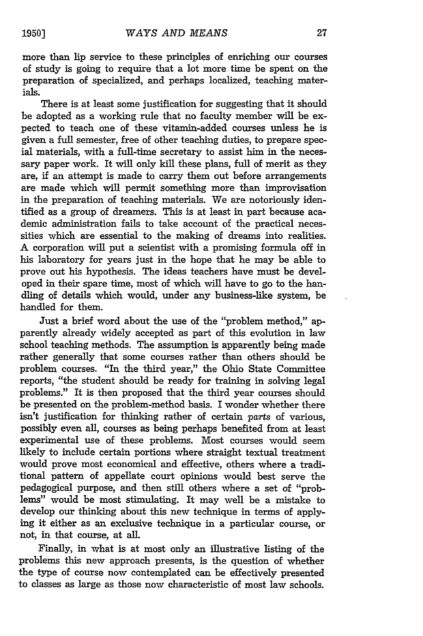more than lip service to these principles of enriching our courses of study is going to require that a lot more time be spent on the preparation of specialized, and perhaps localized, teaching materials.

There is at least some justification for suggesting that it should be adopted as a working rule that no faculty member will be expected to teach one of these vitamin-added courses unless he is given a full semester, free of other teaching duties, to prepare special materials, with a full-time secretary to assist him in the necessary paper work. It will only kill these plans, full of merit as they are, if an attempt is made to carry them out before arrangements are made which will permit something more than improvisation in the preparation of teaching materials. We are notoriously identified as a group of dreamers. This is at least in part because academic administration fails to take account of the practical necessities which are essential to the making of dreams into realities. A corporation will put a scientist with a promising formula off in his laboratory for years just in the hope that he may be able to prove out his hypothesis. The ideas teachers have must be developed in their spare time, most of which will have to go to the handling of details which would, under any business-like system, be handled for them.

Just a brief word about the use of the "problem method," apparently already widely accepted as part of this evolution in law school teaching methods. The assumption is apparently being made rather generally that some courses rather than others should be problem courses. "In the third year," the Ohio State Committee reports, "the student should be ready for training in solving legal problems." It is then proposed that the third year courses should be presented on the problem-method basis. I wonder whether there isn't justification for thinking rather of certain *parts* of various, possibly even all, courses as being perhaps benefited from at least experimental use of these problems. Most courses would seem likely to include certain portions where straight textual treatment would prove most economical and effective, others where a traditional pattern of appellate court opinions would best serve the pedagogical purpose, and then still others where a set of "problems" would be most stimulating. It may well be a mistake to develop our thinking about this new technique in terms of applying it either as an exclusive technique in a particular course, or not, in that course, at all.

Finally, in what is at most only an illustrative listing of the problems this new approach presents, is the question of whether the type of course now contemplated can be effectively presented to classes as large as those now characteristic of most law schools.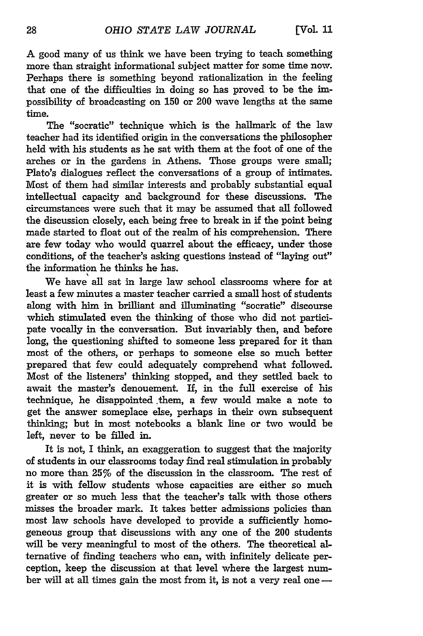A good many of us think we have been trying to teach something more than straight informational subject matter for some time now. Perhaps there is something beyond rationalization in the feeling that one of the difficulties in doing so has proved to be the impossibility of broadcasting on 150 or 200 wave lengths at the same time.

The "socratic" technique which is the hallmark of the law teacher had its identified origin in the conversations the philosopher held with his students as he sat with them at the foot of one of the arches or in the gardens in Athens. Those groups were small; Plato's dialogues reflect the conversations of a group of intimates. Most of them had similar interests and probably substantial equal intellectual capacity and background for these discussions. The circumstances were such that it may be assumed that all followed the discussion closely, each being free to break in if the point being made started to float out of the realm of his comprehension. There are few today who would quarrel about the efficacy, under those conditions, of the teacher's asking questions instead of "laying out" the information he thinks he has.

We have all sat in large law school classrooms where for at least a few minutes a master teacher carried a small host of students along with him in brilliant and illuminating "socratic" discourse which stimulated even the thinking of those who did not participate vocally in the conversation. But invariably then, and before long, the questioning shifted to someone less prepared for it than most of the others, or perhaps to someone else so much better prepared that few could adequately comprehend what followed. Most of the listeners' thinking stopped, and they settled back to await the master's denouement. If, in the full exercise of his technique, he disappointed .them, a few would make a note to get the answer someplace else, perhaps in their own subsequent thinking; but in most notebooks a blank line or two would be left, never to be filled in.

It is not, I think, an exaggeration to suggest that the majority of students in our classrooms today find real stimulation in probably no more than 25% of the discussion in the classroom. The rest of it is with fellow students whose capacities are either so much greater or so much less that the teacher's talk with those others misses the broader mark. It takes better admissions policies than most law schools have developed to provide a sufficiently homogeneous group that discussions with any one of the 200 students will be very meaningful to most of the others. The theoretical alternative of finding teachers who can, with infinitely delicate perception, keep the discussion at that level where the largest number will at all times gain the most from it, is not a very real one **-**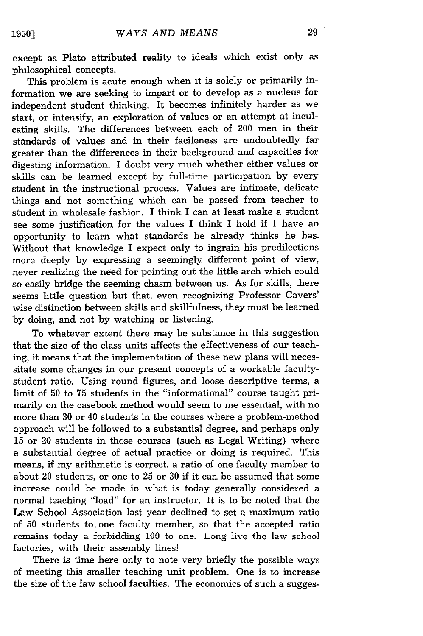except as Plato attributed reality to ideals which exist only as philosophical concepts.

This problem is acute enough when it is solely or primarily information we are seeking to impart or to develop as a nucleus for independent student thinking. It becomes infinitely harder as we start, or intensify, an exploration of values or an attempt at inculcating skills. The differences between each of 200 men in their standards of values and in their facileness are undoubtedly far greater than the differences in their background and capacities for digesting information. I doubt very much whether either values or skills can be learned except by full-time participation by every student in the instructional process. Values are intimate, delicate things and not something which can be passed from teacher to student in wholesale fashion. I think I can at least make a student see some justification for the values I think I hold if I have an opportunity to learn what standards he already thinks he has. Without that knowledge I expect only to ingrain his predilections more deeply by expressing a seemingly different point of view, never realizing the need for pointing out the little arch which could so easily bridge the seeming chasm between us. As for skills, there seems little question but that, even recognizing Professor Cavers' wise distinction between skills and skillfulness, they must be learned by doing, and not by watching or listening.

To whatever extent there may be substance in this suggestion that the size of the class units affects the effectiveness of our teaching, it means that the implementation of these new plans will necessitate some changes in our present concepts of a workable facultystudent ratio. Using round figures, and loose descriptive terms, a limit of 50 to 75 students in the "informational" course taught primarily on the casebook method would seem to me essential, with no more than 30 or 40 students in the courses where a problem-method approach will be followed to a substantial degree, and perhaps only 15 or 20 students in those courses (such as Legal Writing) where a substantial degree of actual practice or doing is required. This means, if my arithmetic is correct, a ratio of one faculty member to about 20 students, or one to 25 or 30 if it can be assumed that some increase could be made in what is today generally considered a normal teaching "load" for an instructor. It is to be noted that the Law School Association last year declined to set a maximum ratio of 50 students to one faculty member, so that the accepted ratio remains today a forbidding 100 to one. Long live the law school factories, with their assembly lines!

There is time here only to note very briefly the possible ways of meeting this smaller teaching unit problem. One is to increase the size of the law school faculties. The economics of such a sugges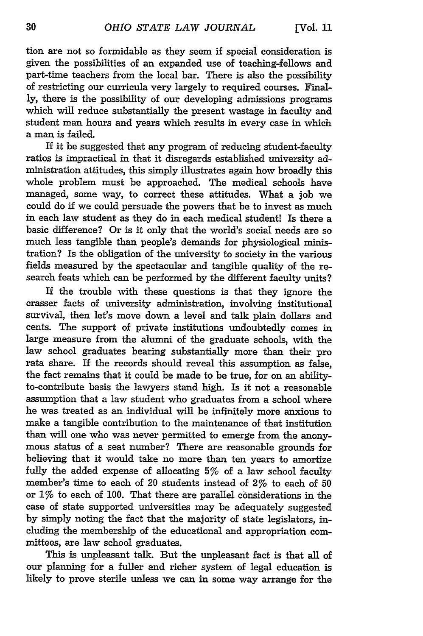tion are not so formidable as they seem if special consideration is given the possibilities of an expanded use of teaching-fellows and part-time teachers from the local bar. There is also the possibility of restricting our curricula very largely to required courses. Finally, there is the possibility of our developing admissions programs which will reduce substantially the present wastage in faculty and student man hours and years which results in every case in which a man is failed.

If it be suggested that any program of reducing student-faculty ratios is impractical in that it disregards established university administration attitudes, this simply illustrates again how broadly this whole problem must be approached. The medical schools have managed, some way, to correct these attitudes. What a job we could do if we could persuade the powers that be to invest as much in each law student as they do in each medical student! Is there a basic difference? Or is it only that the world's social needs are so much less tangible than people's demands for physiological ministration? Is the obligation of the university to society in the various fields measured by the spectacular and tangible quality of the research feats which can be performed by the different faculty units?

If the trouble with these questions is that they ignore the crasser facts of university administration, involving institutional survival, then let's move down a level and talk plain dollars and cents. The support of private institutions undoubtedly comes in large measure from the alumni of the graduate schools, with the law school graduates bearing substantially more than their pro rata share. If the records should reveal this assumption as false, the fact remains that it could be made to be true, for on an abilityto-contribute basis the lawyers stand high. Is it not a reasonable assumption that a law student who graduates from a school where he was treated as an individual will be infinitely more anxious to make a tangible contribution to the maintenance of that institution than will one who was never permitted to emerge from the anonymous status of a seat number? There are reasonable grounds for believing that it would take no more than ten years to amortize fully the added expense of allocating 5% of a law school faculty member's time to each of 20 students instead of 2% to each of 50 or  $1\%$  to each of 100. That there are parallel considerations in the case of state supported universities may be adequately suggested by simply noting the fact that the majority of state legislators, including the membership of the educational and appropriation committees, are law school graduates.

This is unpleasant talk. But the unpleasant fact is that all of our planning for a fuller and richer system of legal education is likely to prove sterile unless we can in some way arrange for the